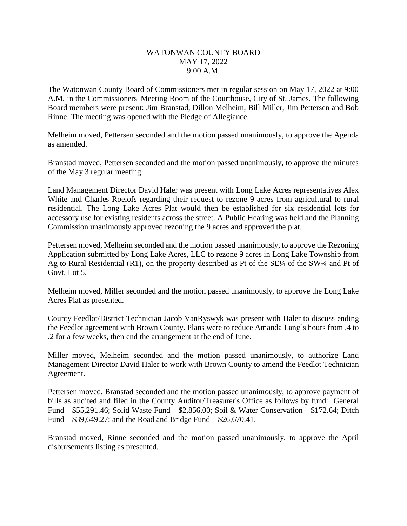## WATONWAN COUNTY BOARD MAY 17, 2022 9:00 A.M.

The Watonwan County Board of Commissioners met in regular session on May 17, 2022 at 9:00 A.M. in the Commissioners' Meeting Room of the Courthouse, City of St. James. The following Board members were present: Jim Branstad, Dillon Melheim, Bill Miller, Jim Pettersen and Bob Rinne. The meeting was opened with the Pledge of Allegiance.

Melheim moved, Pettersen seconded and the motion passed unanimously, to approve the Agenda as amended.

Branstad moved, Pettersen seconded and the motion passed unanimously, to approve the minutes of the May 3 regular meeting.

Land Management Director David Haler was present with Long Lake Acres representatives Alex White and Charles Roelofs regarding their request to rezone 9 acres from agricultural to rural residential. The Long Lake Acres Plat would then be established for six residential lots for accessory use for existing residents across the street. A Public Hearing was held and the Planning Commission unanimously approved rezoning the 9 acres and approved the plat.

Pettersen moved, Melheim seconded and the motion passed unanimously, to approve the Rezoning Application submitted by Long Lake Acres, LLC to rezone 9 acres in Long Lake Township from Ag to Rural Residential (R1), on the property described as Pt of the  $SE\frac{1}{4}$  of the SW $\frac{1}{4}$  and Pt of Govt. Lot 5.

Melheim moved, Miller seconded and the motion passed unanimously, to approve the Long Lake Acres Plat as presented.

County Feedlot/District Technician Jacob VanRyswyk was present with Haler to discuss ending the Feedlot agreement with Brown County. Plans were to reduce Amanda Lang's hours from .4 to .2 for a few weeks, then end the arrangement at the end of June.

Miller moved, Melheim seconded and the motion passed unanimously, to authorize Land Management Director David Haler to work with Brown County to amend the Feedlot Technician Agreement.

Pettersen moved, Branstad seconded and the motion passed unanimously, to approve payment of bills as audited and filed in the County Auditor/Treasurer's Office as follows by fund: General Fund—\$55,291.46; Solid Waste Fund—\$2,856.00; Soil & Water Conservation—\$172.64; Ditch Fund—\$39,649.27; and the Road and Bridge Fund—\$26,670.41.

Branstad moved, Rinne seconded and the motion passed unanimously, to approve the April disbursements listing as presented.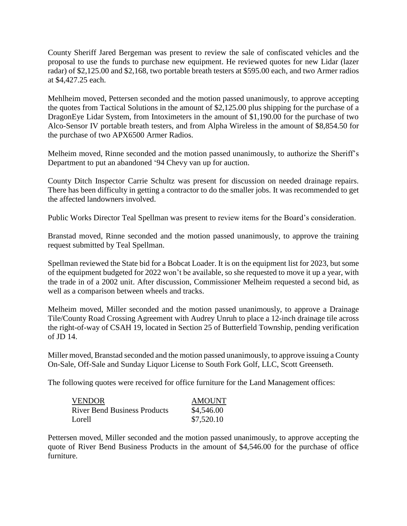County Sheriff Jared Bergeman was present to review the sale of confiscated vehicles and the proposal to use the funds to purchase new equipment. He reviewed quotes for new Lidar (lazer radar) of \$2,125.00 and \$2,168, two portable breath testers at \$595.00 each, and two Armer radios at \$4,427.25 each.

Mehlheim moved, Pettersen seconded and the motion passed unanimously, to approve accepting the quotes from Tactical Solutions in the amount of \$2,125.00 plus shipping for the purchase of a DragonEye Lidar System, from Intoximeters in the amount of \$1,190.00 for the purchase of two Alco-Sensor IV portable breath testers, and from Alpha Wireless in the amount of \$8,854.50 for the purchase of two APX6500 Armer Radios.

Melheim moved, Rinne seconded and the motion passed unanimously, to authorize the Sheriff's Department to put an abandoned '94 Chevy van up for auction.

County Ditch Inspector Carrie Schultz was present for discussion on needed drainage repairs. There has been difficulty in getting a contractor to do the smaller jobs. It was recommended to get the affected landowners involved.

Public Works Director Teal Spellman was present to review items for the Board's consideration.

Branstad moved, Rinne seconded and the motion passed unanimously, to approve the training request submitted by Teal Spellman.

Spellman reviewed the State bid for a Bobcat Loader. It is on the equipment list for 2023, but some of the equipment budgeted for 2022 won't be available, so she requested to move it up a year, with the trade in of a 2002 unit. After discussion, Commissioner Melheim requested a second bid, as well as a comparison between wheels and tracks.

Melheim moved, Miller seconded and the motion passed unanimously, to approve a Drainage Tile/County Road Crossing Agreement with Audrey Unruh to place a 12-inch drainage tile across the right-of-way of CSAH 19, located in Section 25 of Butterfield Township, pending verification of JD 14.

Miller moved, Branstad seconded and the motion passed unanimously, to approve issuing a County On-Sale, Off-Sale and Sunday Liquor License to South Fork Golf, LLC, Scott Greenseth.

The following quotes were received for office furniture for the Land Management offices:

| VENDOR                       | <b>AMOUNT</b> |
|------------------------------|---------------|
| River Bend Business Products | \$4,546.00    |
| Lorell                       | \$7,520.10    |

Pettersen moved, Miller seconded and the motion passed unanimously, to approve accepting the quote of River Bend Business Products in the amount of \$4,546.00 for the purchase of office furniture.